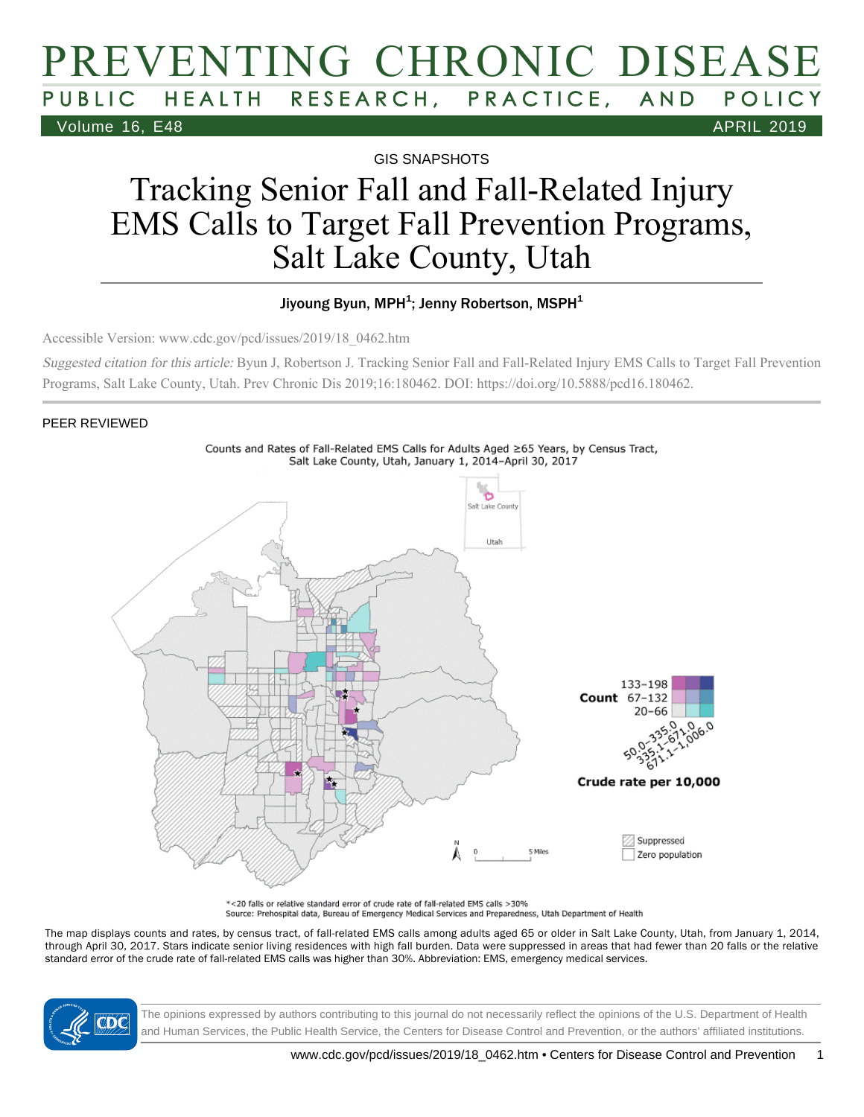## PREVENTING CHRONIC DISEASE PUBLIC HEALTH RESEARCH, PRACTICE, AND POLICY Volume 16, E48 APRIL 2019

GIS SNAPSHOTS

# Tracking Senior Fall and Fall-Related Injury EMS Calls to Target Fall Prevention Programs, Salt Lake County, Utah

#### Jiyoung Byun, MPH $^4$ ; Jenny Robertson, MSPH $^4$

Accessible Version: www.cdc.gov/pcd/issues/2019/18\_0462.htm

Suggested citation for this article: Byun J, Robertson J. Tracking Senior Fall and Fall-Related Injury EMS Calls to Target Fall Prevention Programs, Salt Lake County, Utah. Prev Chronic Dis 2019;16:180462. DOI: https://doi.org/10.5888/pcd16.180462.

#### PEER REVIEWED



\*<20 falls or relative standard error of crude rate of fall-related EMS calls >30% Source: Prehospital data, Bureau of Emergency Medical Services and Preparedness, Utah Department of Health

The map displays counts and rates, by census tract, of fall-related EMS calls among adults aged 65 or older in Salt Lake County, Utah, from January 1, 2014, through April 30, 2017. Stars indicate senior living residences with high fall burden. Data were suppressed in areas that had fewer than 20 falls or the relative standard error of the crude rate of fall-related EMS calls was higher than 30%. Abbreviation: EMS, emergency medical services.



The opinions expressed by authors contributing to this journal do not necessarily reflect the opinions of the U.S. Department of Health and Human Services, the Public Health Service, the Centers for Disease Control and Prevention, or the authors' affiliated institutions.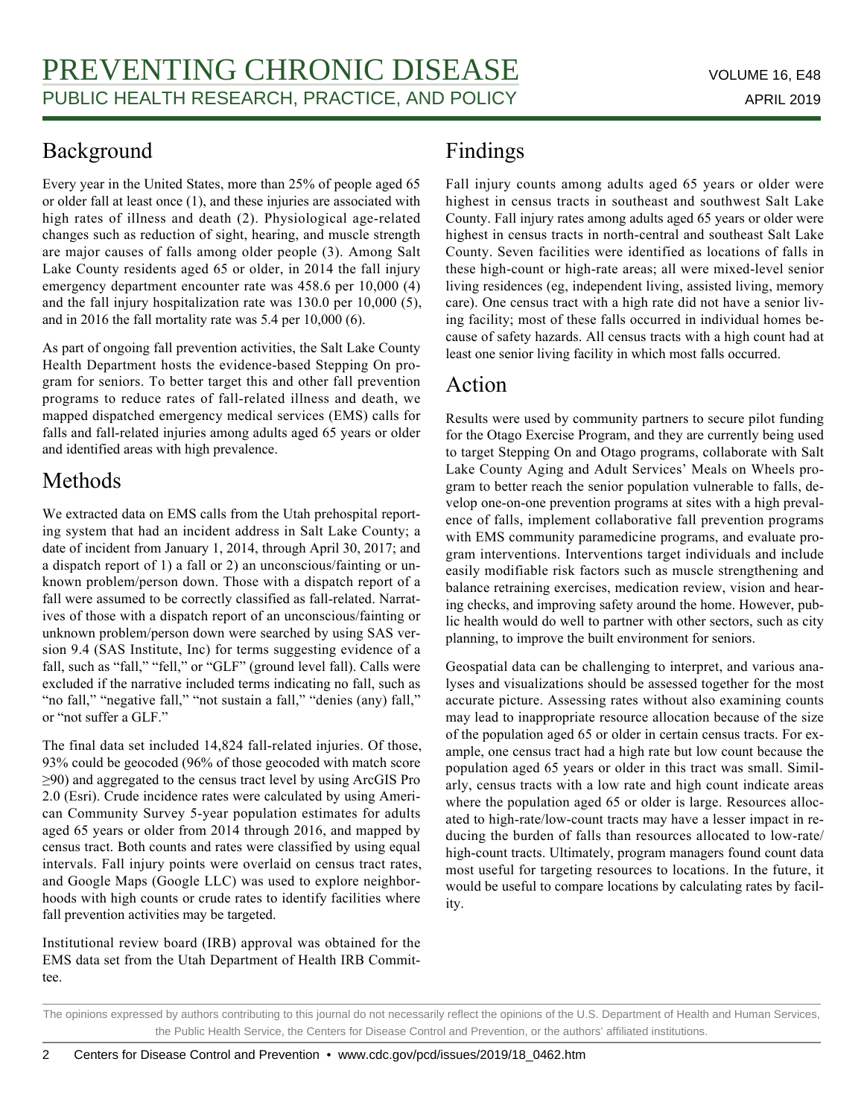### Background

Every year in the United States, more than 25% of people aged 65 or older fall at least once (1), and these injuries are associated with high rates of illness and death (2). Physiological age-related changes such as reduction of sight, hearing, and muscle strength are major causes of falls among older people (3). Among Salt Lake County residents aged 65 or older, in 2014 the fall injury emergency department encounter rate was 458.6 per 10,000 (4) and the fall injury hospitalization rate was 130.0 per 10,000 (5), and in 2016 the fall mortality rate was 5.4 per 10,000 (6).

As part of ongoing fall prevention activities, the Salt Lake County Health Department hosts the evidence-based Stepping On program for seniors. To better target this and other fall prevention programs to reduce rates of fall-related illness and death, we mapped dispatched emergency medical services (EMS) calls for falls and fall-related injuries among adults aged 65 years or older and identified areas with high prevalence.

### Methods

We extracted data on EMS calls from the Utah prehospital reporting system that had an incident address in Salt Lake County; a date of incident from January 1, 2014, through April 30, 2017; and a dispatch report of 1) a fall or 2) an unconscious/fainting or unknown problem/person down. Those with a dispatch report of a fall were assumed to be correctly classified as fall-related. Narratives of those with a dispatch report of an unconscious/fainting or unknown problem/person down were searched by using SAS version 9.4 (SAS Institute, Inc) for terms suggesting evidence of a fall, such as "fall," "fell," or "GLF" (ground level fall). Calls were excluded if the narrative included terms indicating no fall, such as "no fall," "negative fall," "not sustain a fall," "denies (any) fall," or "not suffer a GLF."

The final data set included 14,824 fall-related injuries. Of those, 93% could be geocoded (96% of those geocoded with match score ≥90) and aggregated to the census tract level by using ArcGIS Pro 2.0 (Esri). Crude incidence rates were calculated by using American Community Survey 5-year population estimates for adults aged 65 years or older from 2014 through 2016, and mapped by census tract. Both counts and rates were classified by using equal intervals. Fall injury points were overlaid on census tract rates, and Google Maps (Google LLC) was used to explore neighborhoods with high counts or crude rates to identify facilities where fall prevention activities may be targeted.

Institutional review board (IRB) approval was obtained for the EMS data set from the Utah Department of Health IRB Committee.

## Findings

Fall injury counts among adults aged 65 years or older were highest in census tracts in southeast and southwest Salt Lake County. Fall injury rates among adults aged 65 years or older were highest in census tracts in north-central and southeast Salt Lake County. Seven facilities were identified as locations of falls in these high-count or high-rate areas; all were mixed-level senior living residences (eg, independent living, assisted living, memory care). One census tract with a high rate did not have a senior living facility; most of these falls occurred in individual homes because of safety hazards. All census tracts with a high count had at least one senior living facility in which most falls occurred.

### Action

Results were used by community partners to secure pilot funding for the Otago Exercise Program, and they are currently being used to target Stepping On and Otago programs, collaborate with Salt Lake County Aging and Adult Services' Meals on Wheels program to better reach the senior population vulnerable to falls, develop one-on-one prevention programs at sites with a high prevalence of falls, implement collaborative fall prevention programs with EMS community paramedicine programs, and evaluate program interventions. Interventions target individuals and include easily modifiable risk factors such as muscle strengthening and balance retraining exercises, medication review, vision and hearing checks, and improving safety around the home. However, public health would do well to partner with other sectors, such as city planning, to improve the built environment for seniors.

Geospatial data can be challenging to interpret, and various analyses and visualizations should be assessed together for the most accurate picture. Assessing rates without also examining counts may lead to inappropriate resource allocation because of the size of the population aged 65 or older in certain census tracts. For example, one census tract had a high rate but low count because the population aged 65 years or older in this tract was small. Similarly, census tracts with a low rate and high count indicate areas where the population aged 65 or older is large. Resources allocated to high-rate/low-count tracts may have a lesser impact in reducing the burden of falls than resources allocated to low-rate/ high-count tracts. Ultimately, program managers found count data most useful for targeting resources to locations. In the future, it would be useful to compare locations by calculating rates by facility.

The opinions expressed by authors contributing to this journal do not necessarily reflect the opinions of the U.S. Department of Health and Human Services, the Public Health Service, the Centers for Disease Control and Prevention, or the authors' affiliated institutions.